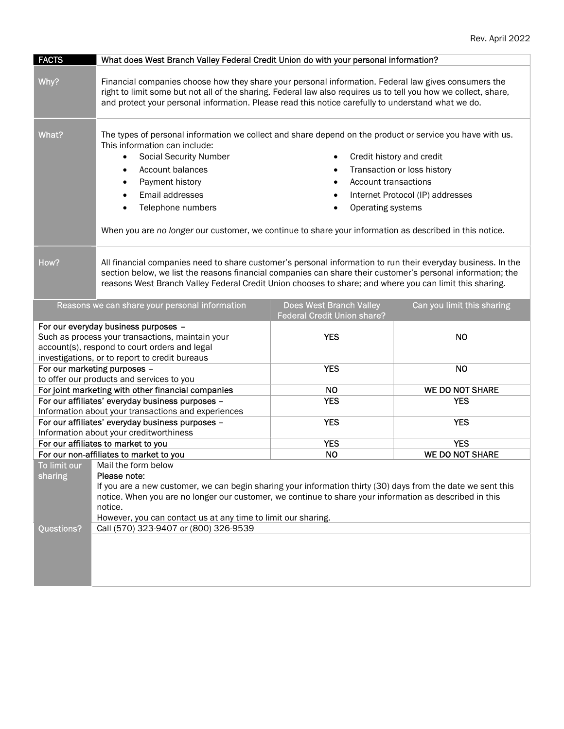| <b>FACTS</b>                                                                                                                                                                                | What does West Branch Valley Federal Credit Union do with your personal information?                                                                                                                                                                                                                                                                      |                             |                                      |
|---------------------------------------------------------------------------------------------------------------------------------------------------------------------------------------------|-----------------------------------------------------------------------------------------------------------------------------------------------------------------------------------------------------------------------------------------------------------------------------------------------------------------------------------------------------------|-----------------------------|--------------------------------------|
| Why?                                                                                                                                                                                        | Financial companies choose how they share your personal information. Federal law gives consumers the<br>right to limit some but not all of the sharing. Federal law also requires us to tell you how we collect, share,<br>and protect your personal information. Please read this notice carefully to understand what we do.                             |                             |                                      |
| What?                                                                                                                                                                                       | The types of personal information we collect and share depend on the product or service you have with us.<br>This information can include:                                                                                                                                                                                                                |                             |                                      |
|                                                                                                                                                                                             | <b>Social Security Number</b><br>$\bullet$                                                                                                                                                                                                                                                                                                                | Credit history and credit   |                                      |
|                                                                                                                                                                                             | Account balances                                                                                                                                                                                                                                                                                                                                          |                             | Transaction or loss history          |
|                                                                                                                                                                                             | Payment history                                                                                                                                                                                                                                                                                                                                           | <b>Account transactions</b> |                                      |
|                                                                                                                                                                                             | Email addresses                                                                                                                                                                                                                                                                                                                                           | $\bullet$                   | Internet Protocol (IP) addresses     |
|                                                                                                                                                                                             | Telephone numbers                                                                                                                                                                                                                                                                                                                                         | Operating systems           |                                      |
|                                                                                                                                                                                             | When you are no longer our customer, we continue to share your information as described in this notice.                                                                                                                                                                                                                                                   |                             |                                      |
| How?                                                                                                                                                                                        | All financial companies need to share customer's personal information to run their everyday business. In the<br>section below, we list the reasons financial companies can share their customer's personal information; the<br>reasons West Branch Valley Federal Credit Union chooses to share; and where you can limit this sharing.                    |                             |                                      |
| <b>Does West Branch Valley</b><br>Can you limit this sharing<br>Reasons we can share your personal information<br><b>Federal Credit Union share?</b>                                        |                                                                                                                                                                                                                                                                                                                                                           |                             |                                      |
| For our everyday business purposes -<br>Such as process your transactions, maintain your<br>account(s), respond to court orders and legal<br>investigations, or to report to credit bureaus |                                                                                                                                                                                                                                                                                                                                                           | <b>YES</b>                  | <b>NO</b>                            |
|                                                                                                                                                                                             | For our marketing purposes -                                                                                                                                                                                                                                                                                                                              | <b>YES</b>                  | <b>NO</b>                            |
|                                                                                                                                                                                             | to offer our products and services to you                                                                                                                                                                                                                                                                                                                 |                             |                                      |
|                                                                                                                                                                                             | For joint marketing with other financial companies                                                                                                                                                                                                                                                                                                        | <b>NO</b>                   | <b>WE DO NOT SHARE</b>               |
|                                                                                                                                                                                             | For our affiliates' everyday business purposes -                                                                                                                                                                                                                                                                                                          | <b>YES</b>                  | <b>YES</b>                           |
|                                                                                                                                                                                             | Information about your transactions and experiences<br>For our affiliates' everyday business purposes -                                                                                                                                                                                                                                                   | <b>YES</b>                  | <b>YES</b>                           |
|                                                                                                                                                                                             | Information about your creditworthiness                                                                                                                                                                                                                                                                                                                   |                             |                                      |
|                                                                                                                                                                                             | For our affiliates to market to you                                                                                                                                                                                                                                                                                                                       | <b>YES</b>                  | <b>YES</b><br><b>WE DO NOT SHARE</b> |
|                                                                                                                                                                                             | For our non-affiliates to market to you                                                                                                                                                                                                                                                                                                                   | <b>NO</b>                   |                                      |
| sharing                                                                                                                                                                                     | To limit our   Mail the form below<br>Please note:<br>If you are a new customer, we can begin sharing your information thirty (30) days from the date we sent this<br>notice. When you are no longer our customer, we continue to share your information as described in this<br>notice.<br>However, you can contact us at any time to limit our sharing. |                             |                                      |
| Questions?                                                                                                                                                                                  | Call (570) 323-9407 or (800) 326-9539                                                                                                                                                                                                                                                                                                                     |                             |                                      |
|                                                                                                                                                                                             |                                                                                                                                                                                                                                                                                                                                                           |                             |                                      |